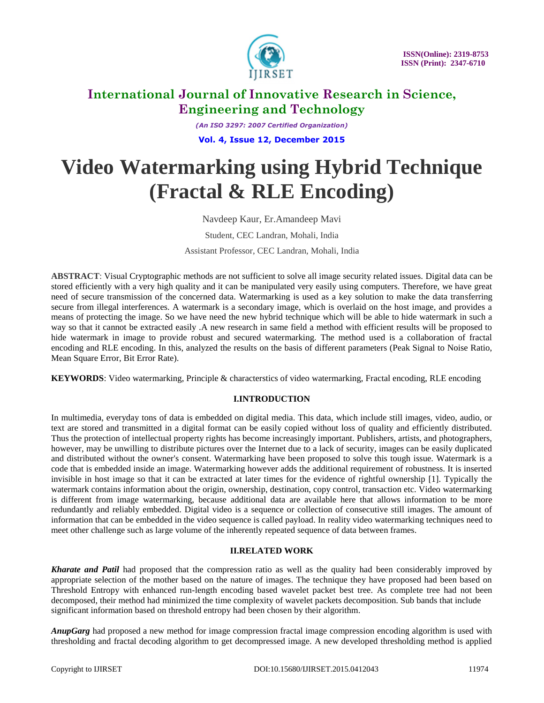

*(An ISO 3297: 2007 Certified Organization)* **Vol. 4, Issue 12, December 2015**

# **Video Watermarking using Hybrid Technique (Fractal & RLE Encoding)**

Navdeep Kaur, Er.Amandeep Mavi Student, CEC Landran, Mohali, India Assistant Professor, CEC Landran, Mohali, India

**ABSTRACT**: Visual Cryptographic methods are not sufficient to solve all image security related issues. Digital data can be stored efficiently with a very high quality and it can be manipulated very easily using computers. Therefore, we have great need of secure transmission of the concerned data. Watermarking is used as a key solution to make the data transferring secure from illegal interferences. A watermark is a secondary image, which is overlaid on the host image, and provides a means of protecting the image. So we have need the new hybrid technique which will be able to hide watermark in such a way so that it cannot be extracted easily .A new research in same field a method with efficient results will be proposed to hide watermark in image to provide robust and secured watermarking. The method used is a collaboration of fractal encoding and RLE encoding. In this, analyzed the results on the basis of different parameters (Peak Signal to Noise Ratio, Mean Square Error, Bit Error Rate).

**KEYWORDS**: Video watermarking, Principle & characterstics of video watermarking, Fractal encoding, RLE encoding

### **I.INTRODUCTION**

In multimedia, everyday tons of data is embedded on digital media. This data, which include still images, video, audio, or text are stored and transmitted in a digital format can be easily copied without loss of quality and efficiently distributed. Thus the protection of intellectual property rights has become increasingly important. Publishers, artists, and photographers, however, may be unwilling to distribute pictures over the Internet due to a lack of security, images can be easily duplicated and distributed without the owner's consent. Watermarking have been proposed to solve this tough issue. Watermark is a code that is embedded inside an image. Watermarking however adds the additional requirement of robustness. It is inserted invisible in host image so that it can be extracted at later times for the evidence of rightful ownership [1]. Typically the watermark contains information about the origin, ownership, destination, copy control, transaction etc. Video watermarking is different from image watermarking, because additional data are available here that allows information to be more redundantly and reliably embedded. Digital video is a sequence or collection of consecutive still images. The amount of information that can be embedded in the video sequence is called payload. In reality video watermarking techniques need to meet other challenge such as large volume of the inherently repeated sequence of data between frames.

### **II.RELATED WORK**

*Kharate and Patil* had proposed that the compression ratio as well as the quality had been considerably improved by appropriate selection of the mother based on the nature of images. The technique they have proposed had been based on Threshold Entropy with enhanced run-length encoding based wavelet packet best tree. As complete tree had not been decomposed, their method had minimized the time complexity of wavelet packets decomposition. Sub bands that include significant information based on threshold entropy had been chosen by their algorithm.

*AnupGarg* had proposed a new method for image compression fractal image compression encoding algorithm is used with thresholding and fractal decoding algorithm to get decompressed image. A new developed thresholding method is applied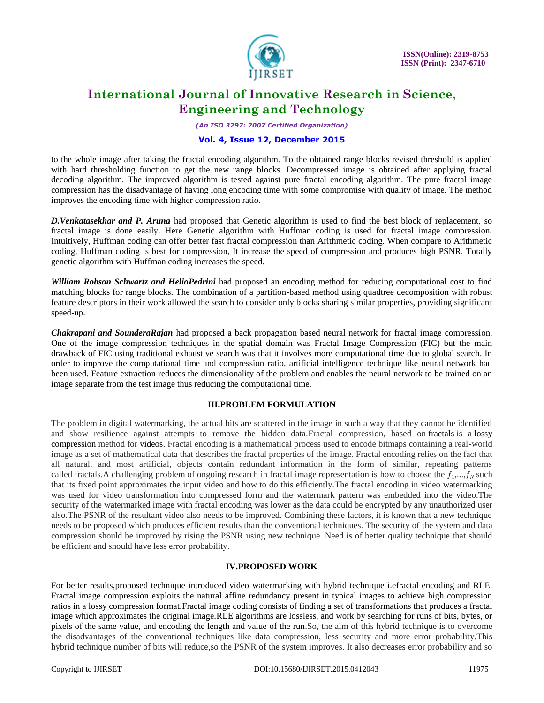

*(An ISO 3297: 2007 Certified Organization)*

### **Vol. 4, Issue 12, December 2015**

to the whole image after taking the fractal encoding algorithm. To the obtained range blocks revised threshold is applied with hard thresholding function to get the new range blocks. Decompressed image is obtained after applying fractal decoding algorithm. The improved algorithm is tested against pure fractal encoding algorithm. The pure fractal image compression has the disadvantage of having long encoding time with some compromise with quality of image. The method improves the encoding time with higher compression ratio.

*D.Venkatasekhar and P. Aruna* had proposed that Genetic algorithm is used to find the best block of replacement, so fractal image is done easily. Here Genetic algorithm with Huffman coding is used for fractal image compression. Intuitively, Huffman coding can offer better fast fractal compression than Arithmetic coding. When compare to Arithmetic coding, Huffman coding is best for compression, It increase the speed of compression and produces high PSNR. Totally genetic algorithm with Huffman coding increases the speed.

*William Robson Schwartz and HelioPedrini* had proposed an encoding method for reducing computational cost to find matching blocks for range blocks. The combination of a partition-based method using quadtree decomposition with robust feature descriptors in their work allowed the search to consider only blocks sharing similar properties, providing significant speed-up.

*Chakrapani and SounderaRajan* had proposed a back propagation based neural network for fractal image compression. One of the image compression techniques in the spatial domain was Fractal Image Compression (FIC) but the main drawback of FIC using traditional exhaustive search was that it involves more computational time due to global search. In order to improve the computational time and compression ratio, artificial intelligence technique like neural network had been used. Feature extraction reduces the dimensionality of the problem and enables the neural network to be trained on an image separate from the test image thus reducing the computational time.

### **III.PROBLEM FORMULATION**

The problem in digital watermarking, the actual bits are scattered in the image in such a way that they cannot be identified and show resilience against attempts to remove the hidden data.Fractal compression, based on fractals is a lossy compression method for videos. Fractal encoding is a mathematical process used to encode bitmaps containing a real-world image as a set of mathematical data that describes the fractal properties of the image. Fractal encoding relies on the fact that all natural, and most artificial, objects contain redundant information in the form of similar, repeating patterns called fractals. A challenging problem of ongoing research in fractal image representation is how to choose the  $f_1, \ldots, f_N$  such that its fixed point approximates the input video and how to do this efficiently.The fractal encoding in video watermarking was used for video transformation into compressed form and the watermark pattern was embedded into the video.The security of the watermarked image with fractal encoding was lower as the data could be encrypted by any unauthorized user also.The PSNR of the resultant video also needs to be improved. Combining these factors, it is known that a new technique needs to be proposed which produces efficient results than the conventional techniques. The security of the system and data compression should be improved by rising the PSNR using new technique. Need is of better quality technique that should be efficient and should have less error probability.

#### **IV.PROPOSED WORK**

For better results,proposed technique introduced video watermarking with hybrid technique i.efractal encoding and RLE. Fractal image compression exploits the natural affine redundancy present in typical images to achieve high compression ratios in a lossy compression format.Fractal image coding consists of finding a set of transformations that produces a fractal image which approximates the original image.RLE algorithms are lossless, and work by searching for runs of bits, bytes, or pixels of the same value, and encoding the length and value of the run.So, the aim of this hybrid technique is to overcome the disadvantages of the conventional techniques like data compression, less security and more error probability.This hybrid technique number of bits will reduce,so the PSNR of the system improves. It also decreases error probability and so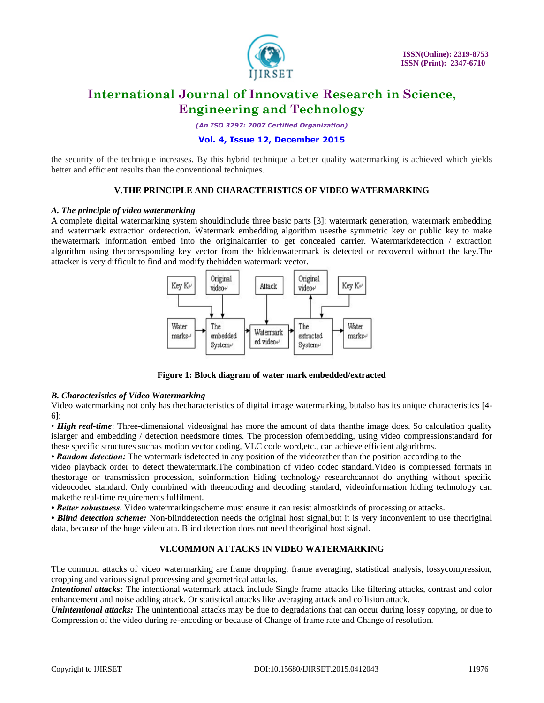

*(An ISO 3297: 2007 Certified Organization)*

### **Vol. 4, Issue 12, December 2015**

the security of the technique increases. By this hybrid technique a better quality watermarking is achieved which yields better and efficient results than the conventional techniques.

### **V.THE PRINCIPLE AND CHARACTERISTICS OF VIDEO WATERMARKING**

#### *A. The principle of video watermarking*

A complete digital watermarking system shouldinclude three basic parts [3]: watermark generation, watermark embedding and watermark extraction ordetection. Watermark embedding algorithm usesthe symmetric key or public key to make thewatermark information embed into the originalcarrier to get concealed carrier. Watermarkdetection / extraction algorithm using thecorresponding key vector from the hiddenwatermark is detected or recovered without the key.The attacker is very difficult to find and modify thehidden watermark vector.



**Figure 1: Block diagram of water mark embedded/extracted**

#### *B. Characteristics of Video Watermarking*

Video watermarking not only has thecharacteristics of digital image watermarking, butalso has its unique characteristics [4- 6]:

• *High real-time*: Three-dimensional videosignal has more the amount of data thanthe image does. So calculation quality islarger and embedding / detection needsmore times. The procession ofembedding, using video compressionstandard for these specific structures suchas motion vector coding, VLC code word,etc., can achieve efficient algorithms.

*• Random detection:* The watermark isdetected in any position of the videorather than the position according to the

video playback order to detect thewatermark.The combination of video codec standard.Video is compressed formats in thestorage or transmission procession, soinformation hiding technology researchcannot do anything without specific videocodec standard. Only combined with theencoding and decoding standard, videoinformation hiding technology can makethe real-time requirements fulfilment.

*• Better robustness*. Video watermarkingscheme must ensure it can resist almostkinds of processing or attacks.

• Blind detection scheme: Non-blinddetection needs the original host signal, but it is very inconvenient to use theoriginal data, because of the huge videodata. Blind detection does not need theoriginal host signal.

### **VI.COMMON ATTACKS IN VIDEO WATERMARKING**

The common attacks of video watermarking are frame dropping, frame averaging, statistical analysis, lossycompression, cropping and various signal processing and geometrical attacks.

*Intentional attacks***:** The intentional watermark attack include Single frame attacks like filtering attacks, contrast and color enhancement and noise adding attack. Or statistical attacks like averaging attack and collision attack.

*Unintentional attacks:* The unintentional attacks may be due to degradations that can occur during lossy copying, or due to Compression of the video during re-encoding or because of Change of frame rate and Change of resolution.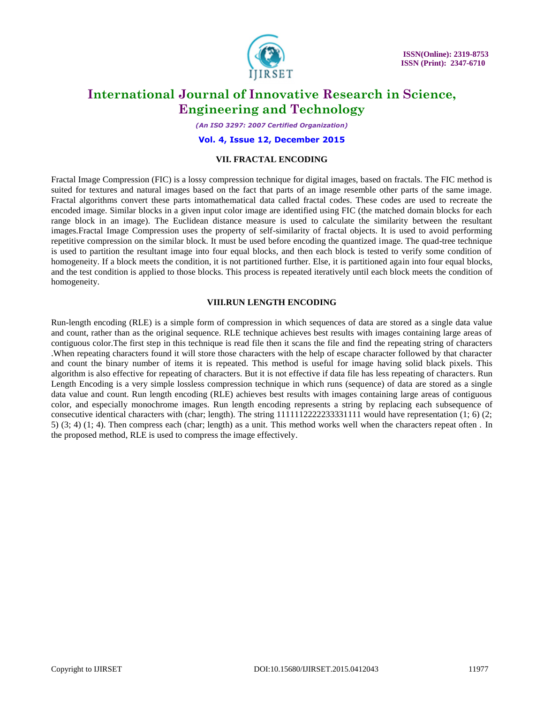

*(An ISO 3297: 2007 Certified Organization)*

**Vol. 4, Issue 12, December 2015**

#### **VII. FRACTAL ENCODING**

Fractal Image Compression (FIC) is a lossy compression technique for digital images, based on fractals. The FIC method is suited for textures and natural images based on the fact that parts of an image resemble other parts of the same image. Fractal algorithms convert these parts intomathematical data called fractal codes. These codes are used to recreate the encoded image. Similar blocks in a given input color image are identified using FIC (the matched domain blocks for each range block in an image). The Euclidean distance measure is used to calculate the similarity between the resultant images.Fractal Image Compression uses the property of self-similarity of fractal objects. It is used to avoid performing repetitive compression on the similar block. It must be used before encoding the quantized image. The quad-tree technique is used to partition the resultant image into four equal blocks, and then each block is tested to verify some condition of homogeneity. If a block meets the condition, it is not partitioned further. Else, it is partitioned again into four equal blocks, and the test condition is applied to those blocks. This process is repeated iteratively until each block meets the condition of homogeneity.

### **VIII.RUN LENGTH ENCODING**

Run-length encoding (RLE) is a simple form of compression in which sequences of data are stored as a single data value and count, rather than as the original sequence. RLE technique achieves best results with images containing large areas of contiguous color.The first step in this technique is read file then it scans the file and find the repeating string of characters .When repeating characters found it will store those characters with the help of escape character followed by that character and count the binary number of items it is repeated. This method is useful for image having solid black pixels. This algorithm is also effective for repeating of characters. But it is not effective if data file has less repeating of characters. Run Length Encoding is a very simple lossless compression technique in which runs (sequence) of data are stored as a single data value and count. Run length encoding (RLE) achieves best results with images containing large areas of contiguous color, and especially monochrome images. Run length encoding represents a string by replacing each subsequence of consecutive identical characters with (char; length). The string 1111112222233331111 would have representation (1; 6) (2; 5) (3; 4) (1; 4). Then compress each (char; length) as a unit. This method works well when the characters repeat often. In the proposed method, RLE is used to compress the image effectively.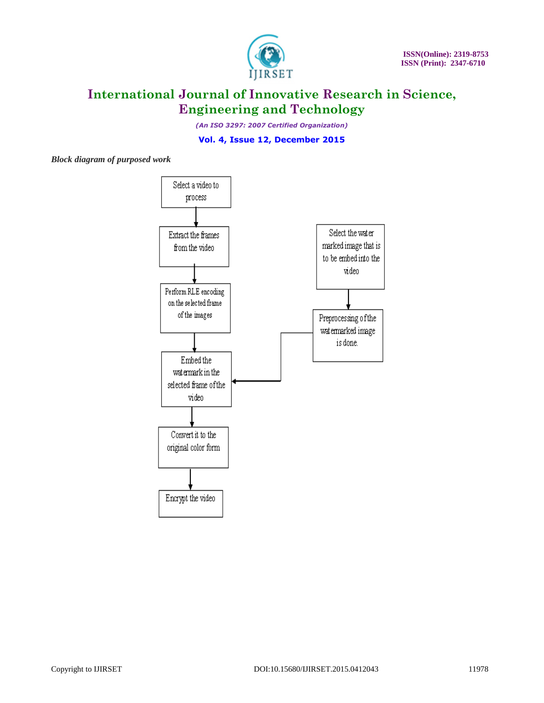

*(An ISO 3297: 2007 Certified Organization)*

**Vol. 4, Issue 12, December 2015**

*Block diagram of purposed work*

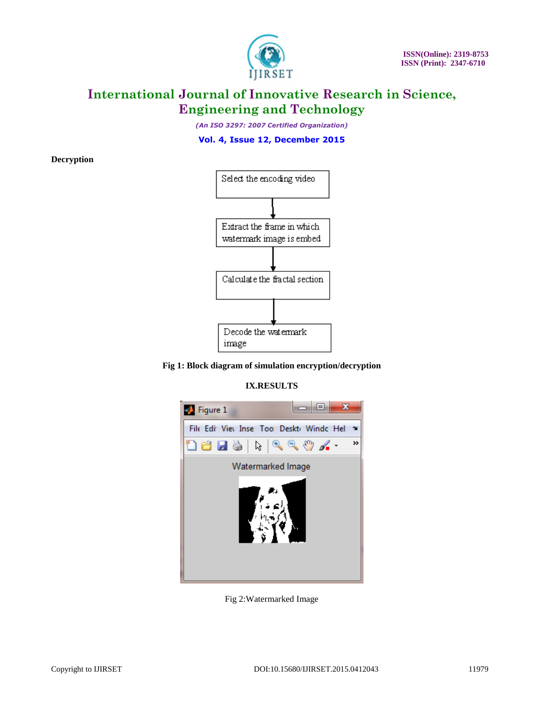

*(An ISO 3297: 2007 Certified Organization)*

### **Vol. 4, Issue 12, December 2015**

**Decryption**





**IX.RESULTS**



Fig 2:Watermarked Image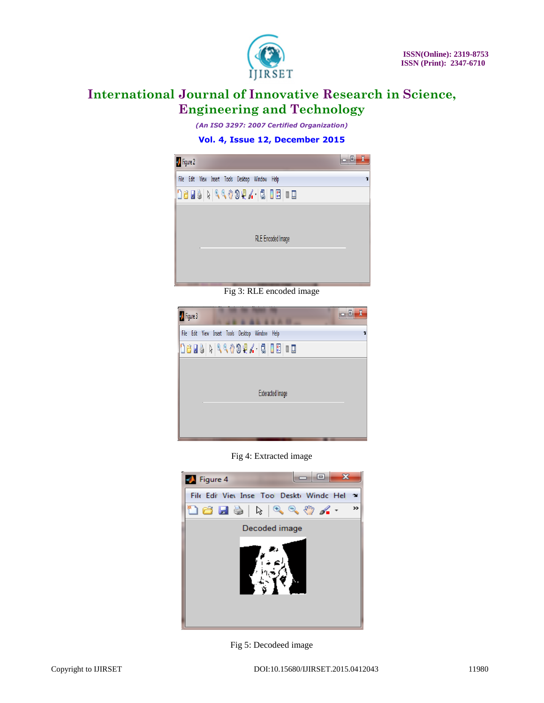

*(An ISO 3297: 2007 Certified Organization)*



Fig 3: RLE encoded image

| o B<br><b>D</b> Figure 3                                        | $\boldsymbol{\chi}$ |
|-----------------------------------------------------------------|---------------------|
| <b>File</b><br>Edit<br>View Insert Tools Desktop Window<br>Help | N                   |
| 1685   1664994. 15   8   8   8                                  |                     |
|                                                                 |                     |
|                                                                 |                     |
| <b>Exteracted Image</b>                                         |                     |
|                                                                 |                     |
|                                                                 |                     |

Fig 4: Extracted image



Fig 5: Decodeed image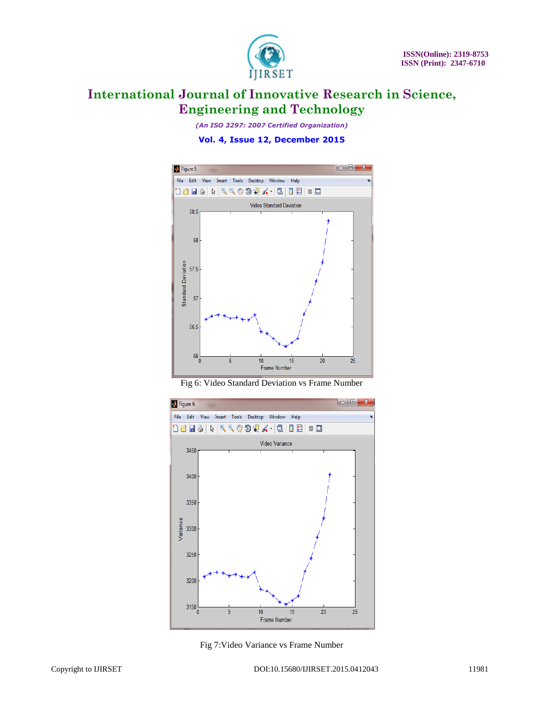

*(An ISO 3297: 2007 Certified Organization)*







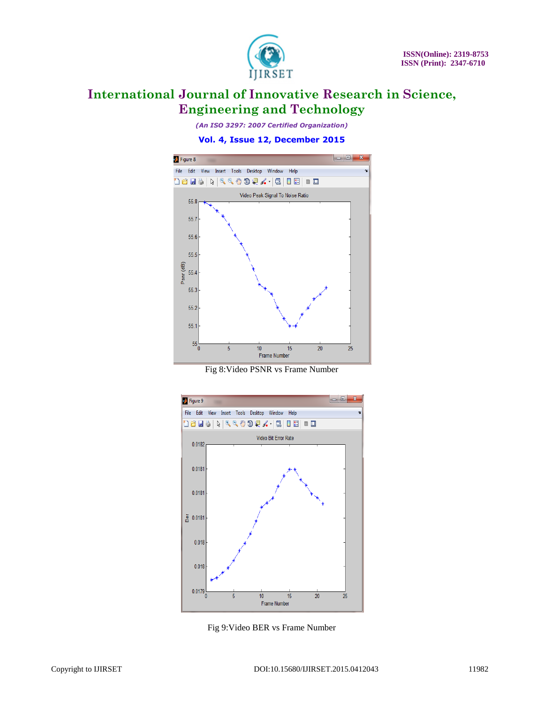

*(An ISO 3297: 2007 Certified Organization)*



Fig 8:Video PSNR vs Frame Number



Fig 9:Video BER vs Frame Number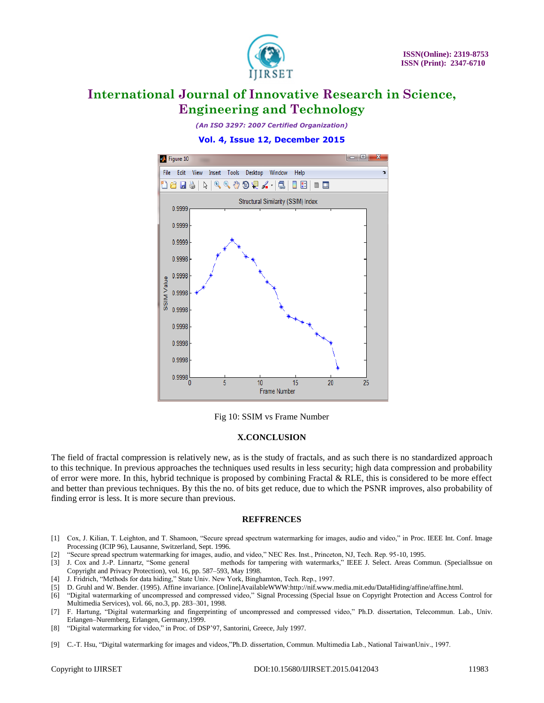

*(An ISO 3297: 2007 Certified Organization)*

### **Vol. 4, Issue 12, December 2015**



Fig 10: SSIM vs Frame Number

#### **X.CONCLUSION**

The field of fractal compression is relatively new, as is the study of fractals, and as such there is no standardized approach to this technique. In previous approaches the techniques used results in less security; high data compression and probability of error were more. In this, hybrid technique is proposed by combining Fractal & RLE, this is considered to be more effect and better than previous techniques. By this the no. of bits get reduce, due to which the PSNR improves, also probability of finding error is less. It is more secure than previous.

#### **REFFRENCES**

- [1] Cox, J. Kilian, T. Leighton, and T. Shamoon, "Secure spread spectrum watermarking for images, audio and video," in Proc. IEEE Int. Conf. Image Processing (ICIP 96), Lausanne, Switzerland, Sept. 1996.
- [2] "Secure spread spectrum watermarking for images, audio, and video," NEC Res. Inst., Princeton, NJ, Tech. Rep. 95-10, 1995.
- methods for tampering with watermarks," IEEE J. Select. Areas Commun. (SpecialIssue on Copyright and Privacy Protection), vol. 16, pp. 587–593, May 1998.
- [4] J. Fridrich, "Methods for data hiding," State Univ. New York, Binghamton, Tech. Rep., 1997.
- [5] D. Gruhl and W. Bender. (1995). Affine invariance. [Online]AvailableWWW:http://nif.www.media.mit.edu/DataHiding/affine/affine.html.
- [6] "Digital watermarking of uncompressed and compressed video," Signal Processing (Special Issue on Copyright Protection and Access Control for Multimedia Services), vol. 66, no.3, pp. 283–301, 1998.
- [7] F. Hartung, "Digital watermarking and fingerprinting of uncompressed and compressed video," Ph.D. dissertation, Telecommun. Lab., Univ. Erlangen–Nuremberg, Erlangen, Germany,1999.
- [8] "Digital watermarking for video," in Proc. of DSP'97, Santorini, Greece, July 1997.
- [9] C.-T. Hsu, "Digital watermarking for images and videos,"Ph.D. dissertation, Commun. Multimedia Lab., National TaiwanUniv., 1997.